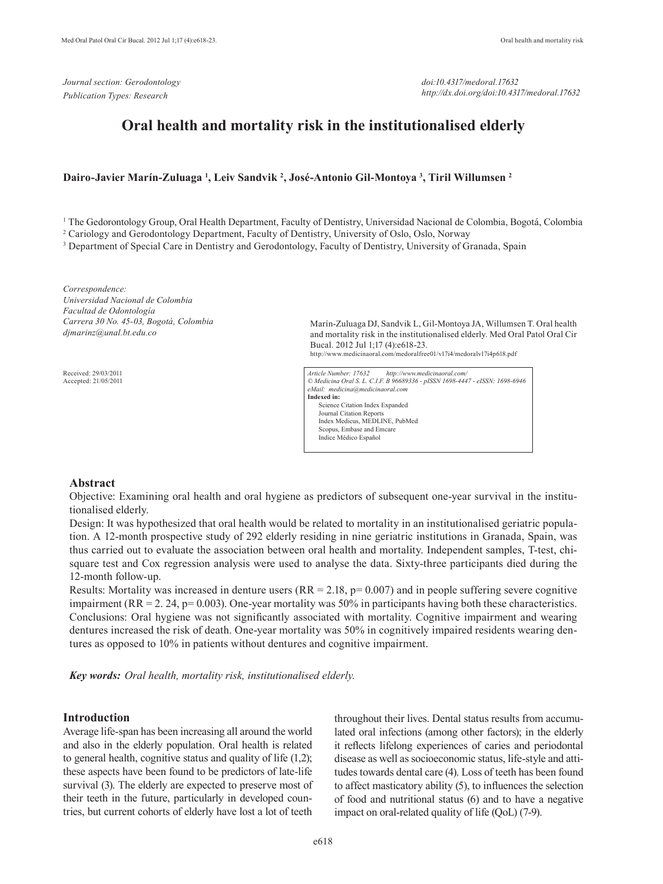*doi:10.4317/medoral.17632 http://dx.doi.org/doi:10.4317/medoral.17632*

# **Oral health and mortality risk in the institutionalised elderly**

# **Dairo-Javier Marín-Zuluaga 1 , Leiv Sandvik 2 , José-Antonio Gil-Montoya 3 , Tiril Willumsen 2**

<sup>1</sup> The Gedorontology Group, Oral Health Department, Faculty of Dentistry, Universidad Nacional de Colombia, Bogotá, Colombia

2 Cariology and Gerodontology Department, Faculty of Dentistry, University of Oslo, Oslo, Norway

<sup>3</sup> Department of Special Care in Dentistry and Gerodontology, Faculty of Dentistry, University of Granada, Spain

*Correspondence: Universidad Nacional de Colombia Facultad de Odontología Carrera 30 No. 45-03, Bogotá, Colombia djmarinz@unal.bt.edu.co*

Received: 29/03/2011 Accepted: 21/05/2011 Marín-Zuluaga DJ, Sandvik L, Gil-Montoya JA, Willumsen T. Oral health and mortality risk in the institutionalised elderly. Med Oral Patol Oral Cir Bucal. 2012 Jul 1;17 (4):e618-23. http://www.medicinaoral.com/medoralfree01/v17i4/medoralv17i4p618.pdf

*Article Number: 17632 http://www.medicinaoral.com/ © Medicina Oral S. L. C.I.F. B 96689336 - pISSN 1698-4447 - eISSN: 1698-6946 eMail: medicina@medicinaoral.com*  **Indexed in:**  Science Citation Index Expanded Journal Citation Reports Index Medicus, MEDLINE, PubMed Scopus, Embase and Emcare Indice Médico Español

# **Abstract**

Objective: Examining oral health and oral hygiene as predictors of subsequent one-year survival in the institutionalised elderly.

Design: It was hypothesized that oral health would be related to mortality in an institutionalised geriatric population. A 12-month prospective study of 292 elderly residing in nine geriatric institutions in Granada, Spain, was thus carried out to evaluate the association between oral health and mortality. Independent samples, T-test, chisquare test and Cox regression analysis were used to analyse the data. Sixty-three participants died during the 12-month follow-up.

Results: Mortality was increased in denture users  $(RR = 2.18, p= 0.007)$  and in people suffering severe cognitive impairment (RR = 2, 24,  $p= 0.003$ ). One-year mortality was 50% in participants having both these characteristics. Conclusions: Oral hygiene was not significantly associated with mortality. Cognitive impairment and wearing dentures increased the risk of death. One-year mortality was 50% in cognitively impaired residents wearing dentures as opposed to 10% in patients without dentures and cognitive impairment.

*Key words: Oral health, mortality risk, institutionalised elderly.*

### **Introduction**

Average life-span has been increasing all around the world and also in the elderly population. Oral health is related to general health, cognitive status and quality of life (1,2); these aspects have been found to be predictors of late-life survival (3). The elderly are expected to preserve most of their teeth in the future, particularly in developed countries, but current cohorts of elderly have lost a lot of teeth

throughout their lives. Dental status results from accumulated oral infections (among other factors); in the elderly it reflects lifelong experiences of caries and periodontal disease as well as socioeconomic status, life-style and attitudes towards dental care (4). Loss of teeth has been found to affect masticatory ability (5), to influences the selection of food and nutritional status (6) and to have a negative impact on oral-related quality of life (QoL) (7-9).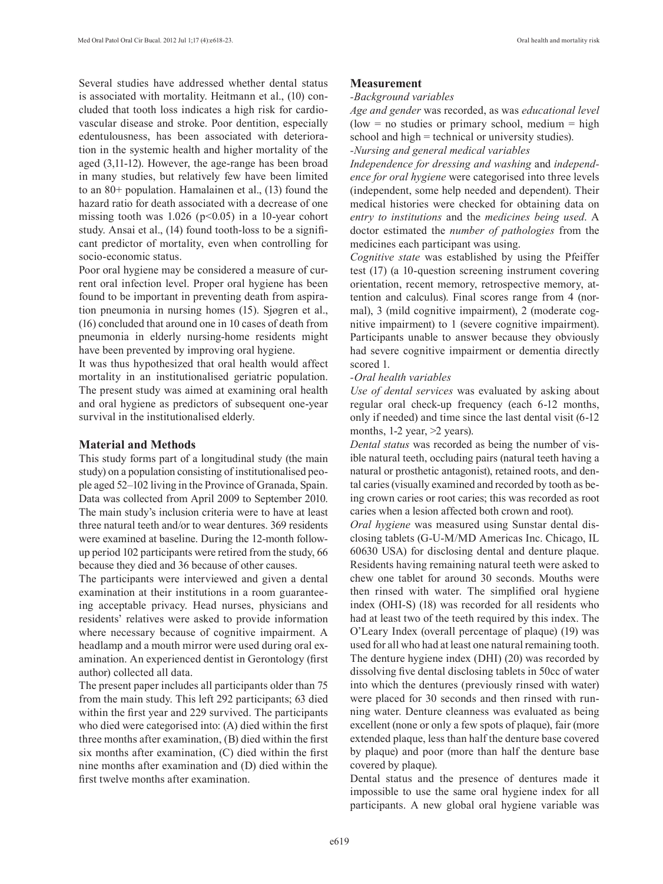Several studies have addressed whether dental status is associated with mortality. Heitmann et al., (10) concluded that tooth loss indicates a high risk for cardiovascular disease and stroke. Poor dentition, especially edentulousness, has been associated with deterioration in the systemic health and higher mortality of the aged (3,11-12). However, the age-range has been broad in many studies, but relatively few have been limited to an 80+ population. Hamalainen et al., (13) found the hazard ratio for death associated with a decrease of one missing tooth was  $1.026$  (p<0.05) in a 10-year cohort study. Ansai et al., (14) found tooth-loss to be a significant predictor of mortality, even when controlling for socio-economic status.

Poor oral hygiene may be considered a measure of current oral infection level. Proper oral hygiene has been found to be important in preventing death from aspiration pneumonia in nursing homes (15). Sjøgren et al., (16) concluded that around one in 10 cases of death from pneumonia in elderly nursing-home residents might have been prevented by improving oral hygiene.

It was thus hypothesized that oral health would affect mortality in an institutionalised geriatric population. The present study was aimed at examining oral health and oral hygiene as predictors of subsequent one-year survival in the institutionalised elderly.

# **Material and Methods**

This study forms part of a longitudinal study (the main study) on a population consisting of institutionalised people aged 52–102 living in the Province of Granada, Spain. Data was collected from April 2009 to September 2010. The main study's inclusion criteria were to have at least three natural teeth and/or to wear dentures. 369 residents were examined at baseline. During the 12-month followup period 102 participants were retired from the study, 66 because they died and 36 because of other causes.

The participants were interviewed and given a dental examination at their institutions in a room guaranteeing acceptable privacy. Head nurses, physicians and residents' relatives were asked to provide information where necessary because of cognitive impairment. A headlamp and a mouth mirror were used during oral examination. An experienced dentist in Gerontology (first author) collected all data.

The present paper includes all participants older than 75 from the main study. This left 292 participants; 63 died within the first year and 229 survived. The participants who died were categorised into: (A) died within the first three months after examination, (B) died within the first six months after examination, (C) died within the first nine months after examination and (D) died within the first twelve months after examination.

# **Measurement**

#### *-Background variables*

*Age and gender* was recorded, as was *educational level*  $(low = no$  studies or primary school, medium  $= high$ school and high = technical or university studies). *-Nursing and general medical variables*

*Independence for dressing and washing* and *independence for oral hygiene* were categorised into three levels (independent, some help needed and dependent). Their medical histories were checked for obtaining data on *entry to institutions* and the *medicines being used*. A doctor estimated the *number of pathologies* from the medicines each participant was using.

*Cognitive state* was established by using the Pfeiffer test (17) (a 10-question screening instrument covering orientation, recent memory, retrospective memory, attention and calculus). Final scores range from 4 (normal), 3 (mild cognitive impairment), 2 (moderate cognitive impairment) to 1 (severe cognitive impairment). Participants unable to answer because they obviously had severe cognitive impairment or dementia directly scored 1.

#### *-Oral health variables*

*Use of dental services* was evaluated by asking about regular oral check-up frequency (each 6-12 months, only if needed) and time since the last dental visit (6-12 months,  $1-2$  year,  $>2$  years).

*Dental status* was recorded as being the number of visible natural teeth, occluding pairs (natural teeth having a natural or prosthetic antagonist), retained roots, and dental caries (visually examined and recorded by tooth as being crown caries or root caries; this was recorded as root caries when a lesion affected both crown and root).

*Oral hygiene* was measured using Sunstar dental disclosing tablets (G-U-M/MD Americas Inc. Chicago, IL 60630 USA) for disclosing dental and denture plaque. Residents having remaining natural teeth were asked to chew one tablet for around 30 seconds. Mouths were then rinsed with water. The simplified oral hygiene index (OHI-S) (18) was recorded for all residents who had at least two of the teeth required by this index. The O'Leary Index (overall percentage of plaque) (19) was used for all who had at least one natural remaining tooth. The denture hygiene index (DHI) (20) was recorded by dissolving five dental disclosing tablets in 50cc of water into which the dentures (previously rinsed with water) were placed for 30 seconds and then rinsed with running water. Denture cleanness was evaluated as being excellent (none or only a few spots of plaque), fair (more extended plaque, less than half the denture base covered by plaque) and poor (more than half the denture base covered by plaque).

Dental status and the presence of dentures made it impossible to use the same oral hygiene index for all participants. A new global oral hygiene variable was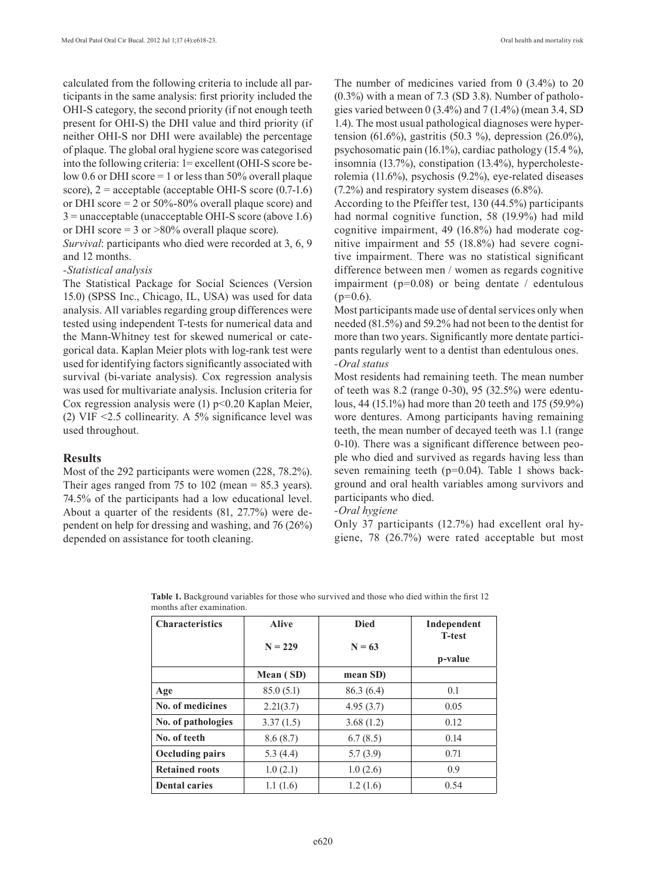calculated from the following criteria to include all participants in the same analysis: first priority included the OHI-S category, the second priority (if not enough teeth present for OHI-S) the DHI value and third priority (if neither OHI-S nor DHI were available) the percentage of plaque. The global oral hygiene score was categorised into the following criteria: 1= excellent (OHI-S score below 0.6 or DHI score  $=$  1 or less than 50% overall plaque score),  $2 =$  acceptable (acceptable OHI-S score  $(0.7-1.6)$ ) or DHI score  $= 2$  or 50%-80% overall plaque score) and 3 = unacceptable (unacceptable OHI-S score (above 1.6) or DHI score = 3 or  $>80\%$  overall plaque score).

*Survival*: participants who died were recorded at 3, 6, 9 and 12 months.

#### *-Statistical analysis*

The Statistical Package for Social Sciences (Version 15.0) (SPSS Inc., Chicago, IL, USA) was used for data analysis. All variables regarding group differences were tested using independent T-tests for numerical data and the Mann-Whitney test for skewed numerical or categorical data. Kaplan Meier plots with log-rank test were used for identifying factors significantly associated with survival (bi-variate analysis). Cox regression analysis was used for multivariate analysis. Inclusion criteria for Cox regression analysis were  $(1)$  p<0.20 Kaplan Meier, (2) VIF <2.5 collinearity. A 5% significance level was used throughout.

#### **Results**

Most of the 292 participants were women (228, 78.2%). Their ages ranged from 75 to 102 (mean  $= 85.3$  years). 74.5% of the participants had a low educational level. About a quarter of the residents (81, 27.7%) were dependent on help for dressing and washing, and 76 (26%) depended on assistance for tooth cleaning.

The number of medicines varied from 0 (3.4%) to 20  $(0.3\%)$  with a mean of 7.3 (SD 3.8). Number of pathologies varied between 0 (3.4%) and 7 (1.4%) (mean 3.4, SD 1.4). The most usual pathological diagnoses were hypertension (61.6%), gastritis (50.3 %), depression (26.0%), psychosomatic pain (16.1%), cardiac pathology (15.4 %), insomnia (13.7%), constipation (13.4%), hypercholesterolemia (11.6%), psychosis (9.2%), eye-related diseases (7.2%) and respiratory system diseases (6.8%).

According to the Pfeiffer test, 130 (44.5%) participants had normal cognitive function, 58 (19.9%) had mild cognitive impairment, 49 (16.8%) had moderate cognitive impairment and 55 (18.8%) had severe cognitive impairment. There was no statistical significant difference between men / women as regards cognitive impairment ( $p=0.08$ ) or being dentate / edentulous  $(p=0.6)$ .

Most participants made use of dental services only when needed (81.5%) and 59.2% had not been to the dentist for more than two years. Significantly more dentate participants regularly went to a dentist than edentulous ones. *-Oral status* 

Most residents had remaining teeth. The mean number of teeth was 8.2 (range 0-30), 95 (32.5%) were edentulous, 44 (15.1%) had more than 20 teeth and 175 (59.9%) wore dentures. Among participants having remaining teeth, the mean number of decayed teeth was 1.1 (range 0-10). There was a significant difference between people who died and survived as regards having less than seven remaining teeth (p=0.04). Table 1 shows background and oral health variables among survivors and participants who died.

#### *-Oral hygiene*

Only 37 participants (12.7%) had excellent oral hygiene, 78 (26.7%) were rated acceptable but most

| <b>Characteristics</b> | <b>Alive</b> | <b>Died</b> | Independent<br><b>T-test</b> |
|------------------------|--------------|-------------|------------------------------|
|                        | $N = 229$    | $N = 63$    |                              |
|                        |              |             | p-value                      |
|                        | Mean (SD)    | mean SD)    |                              |
| Age                    | 85.0(5.1)    | 86.3 (6.4)  | 0.1                          |
| No. of medicines       | 2.21(3.7)    | 4.95(3.7)   | 0.05                         |
| No. of pathologies     | 3.37(1.5)    | 3.68(1.2)   | 0.12                         |
| No. of teeth           | 8.6(8.7)     | 6.7(8.5)    | 0.14                         |
| <b>Occluding pairs</b> | 5.3 $(4.4)$  | 5.7(3.9)    | 0.71                         |
| <b>Retained roots</b>  | 1.0(2.1)     | 1.0(2.6)    | 0.9                          |
| <b>Dental caries</b>   | 1.1(1.6)     | 1.2(1.6)    | 0.54                         |

**Table 1.** Background variables for those who survived and those who died within the first 12 months after examination.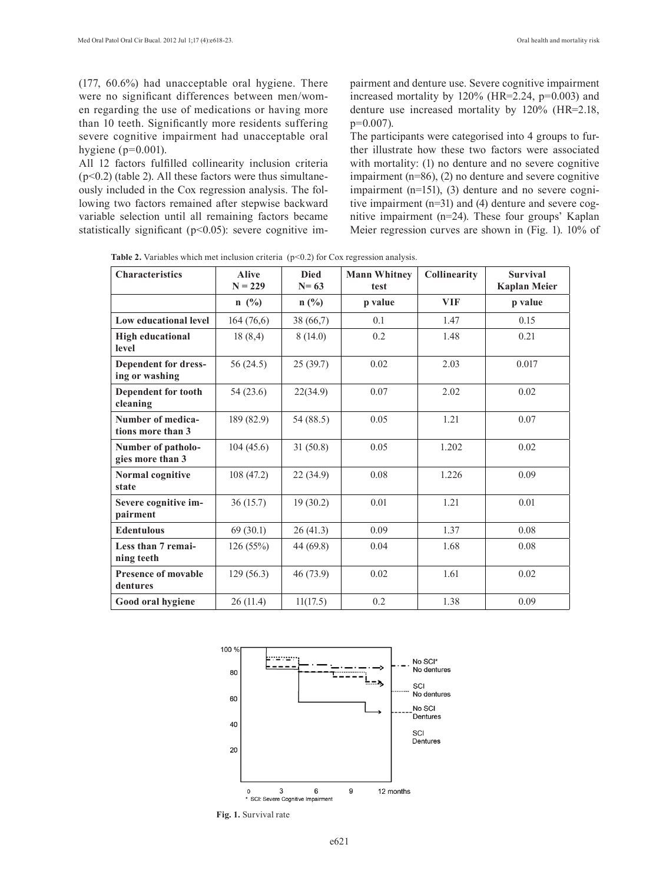(177, 60.6%) had unacceptable oral hygiene. There were no significant differences between men/women regarding the use of medications or having more than 10 teeth. Significantly more residents suffering severe cognitive impairment had unacceptable oral hygiene ( $p=0.001$ ).

All 12 factors fulfilled collinearity inclusion criteria  $(p<0.2)$  (table 2). All these factors were thus simultaneously included in the Cox regression analysis. The following two factors remained after stepwise backward variable selection until all remaining factors became statistically significant ( $p$ <0.05): severe cognitive impairment and denture use. Severe cognitive impairment increased mortality by 120% (HR=2.24, p=0.003) and denture use increased mortality by 120% (HR=2.18,  $p=0.007$ ).

The participants were categorised into 4 groups to further illustrate how these two factors were associated with mortality: (1) no denture and no severe cognitive impairment (n=86), (2) no denture and severe cognitive impairment (n=151), (3) denture and no severe cognitive impairment (n=31) and (4) denture and severe cognitive impairment (n=24). These four groups' Kaplan Meier regression curves are shown in (Fig. 1). 10% of

Table 2. Variables which met inclusion criteria (p<0.2) for Cox regression analysis.

| <b>Characteristics</b>                 | <b>Alive</b><br>$N = 229$ | <b>Died</b><br>$N = 63$ | <b>Mann Whitney</b><br>test | Collinearity | <b>Survival</b><br><b>Kaplan Meier</b> |
|----------------------------------------|---------------------------|-------------------------|-----------------------------|--------------|----------------------------------------|
|                                        | $n \ (\%)$                | $n$ (%)                 | p value                     | <b>VIF</b>   | p value                                |
| Low educational level                  | 164(76,6)                 | 38 (66,7)               | 0.1                         | 1.47         | 0.15                                   |
| <b>High educational</b><br>level       | 18(8,4)                   | 8(14.0)                 | 0.2                         | 1.48         | 0.21                                   |
| Dependent for dress-<br>ing or washing | 56(24.5)                  | 25(39.7)                | 0.02                        | 2.03         | 0.017                                  |
| Dependent for tooth<br>cleaning        | 54 (23.6)                 | 22(34.9)                | 0.07                        | 2.02         | 0.02                                   |
| Number of medica-<br>tions more than 3 | 189 (82.9)                | 54 (88.5)               | 0.05                        | 1.21         | 0.07                                   |
| Number of patholo-<br>gies more than 3 | 104(45.6)                 | 31(50.8)                | 0.05                        | 1.202        | 0.02                                   |
| Normal cognitive<br>state              | 108 (47.2)                | 22(34.9)                | 0.08                        | 1.226        | 0.09                                   |
| Severe cognitive im-<br>pairment       | 36(15.7)                  | 19(30.2)                | 0.01                        | 1.21         | 0.01                                   |
| <b>Edentulous</b>                      | 69(30.1)                  | 26(41.3)                | 0.09                        | 1.37         | 0.08                                   |
| Less than 7 remai-<br>ning teeth       | 126(55%)                  | 44 (69.8)               | 0.04                        | 1.68         | 0.08                                   |
| <b>Presence of movable</b><br>dentures | 129(56.3)                 | 46 (73.9)               | 0.02                        | 1.61         | 0.02                                   |
| Good oral hygiene                      | 26(11.4)                  | 11(17.5)                | 0.2                         | 1.38         | 0.09                                   |



**Fig. 1.** Survival rate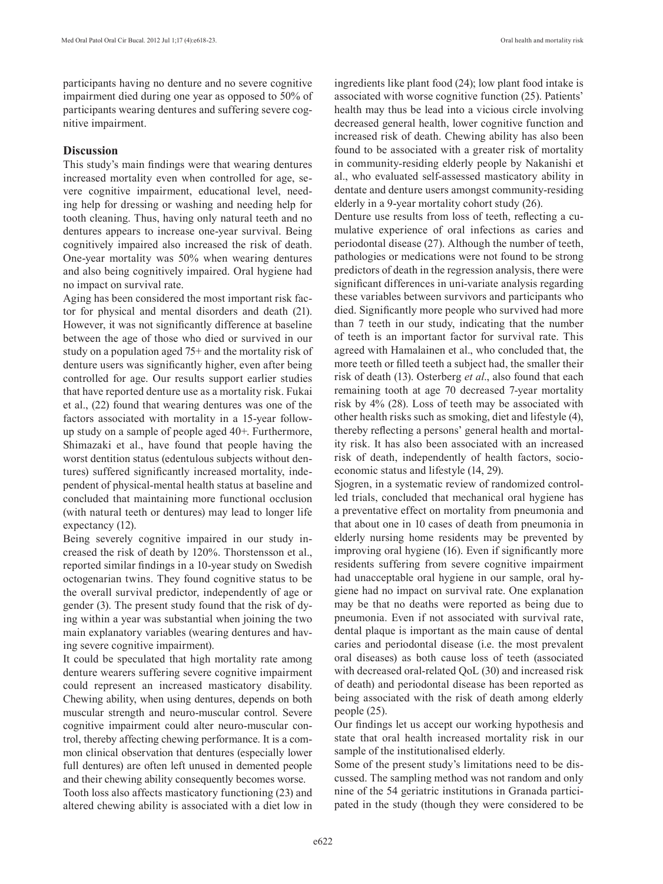participants having no denture and no severe cognitive impairment died during one year as opposed to 50% of participants wearing dentures and suffering severe cognitive impairment.

# **Discussion**

This study's main findings were that wearing dentures increased mortality even when controlled for age, severe cognitive impairment, educational level, needing help for dressing or washing and needing help for tooth cleaning. Thus, having only natural teeth and no dentures appears to increase one-year survival. Being cognitively impaired also increased the risk of death. One-year mortality was 50% when wearing dentures and also being cognitively impaired. Oral hygiene had no impact on survival rate.

Aging has been considered the most important risk factor for physical and mental disorders and death (21). However, it was not significantly difference at baseline between the age of those who died or survived in our study on a population aged 75+ and the mortality risk of denture users was significantly higher, even after being controlled for age. Our results support earlier studies that have reported denture use as a mortality risk. Fukai et al., (22) found that wearing dentures was one of the factors associated with mortality in a 15-year followup study on a sample of people aged 40+. Furthermore, Shimazaki et al., have found that people having the worst dentition status (edentulous subjects without dentures) suffered significantly increased mortality, independent of physical-mental health status at baseline and concluded that maintaining more functional occlusion (with natural teeth or dentures) may lead to longer life expectancy (12).

Being severely cognitive impaired in our study increased the risk of death by 120%. Thorstensson et al., reported similar findings in a 10-year study on Swedish octogenarian twins. They found cognitive status to be the overall survival predictor, independently of age or gender (3). The present study found that the risk of dying within a year was substantial when joining the two main explanatory variables (wearing dentures and having severe cognitive impairment).

It could be speculated that high mortality rate among denture wearers suffering severe cognitive impairment could represent an increased masticatory disability. Chewing ability, when using dentures, depends on both muscular strength and neuro-muscular control. Severe cognitive impairment could alter neuro-muscular control, thereby affecting chewing performance. It is a common clinical observation that dentures (especially lower full dentures) are often left unused in demented people and their chewing ability consequently becomes worse.

Tooth loss also affects masticatory functioning (23) and altered chewing ability is associated with a diet low in ingredients like plant food (24); low plant food intake is associated with worse cognitive function (25). Patients' health may thus be lead into a vicious circle involving decreased general health, lower cognitive function and increased risk of death. Chewing ability has also been found to be associated with a greater risk of mortality in community-residing elderly people by Nakanishi et al., who evaluated self-assessed masticatory ability in dentate and denture users amongst community-residing elderly in a 9-year mortality cohort study (26).

Denture use results from loss of teeth, reflecting a cumulative experience of oral infections as caries and periodontal disease (27). Although the number of teeth, pathologies or medications were not found to be strong predictors of death in the regression analysis, there were significant differences in uni-variate analysis regarding these variables between survivors and participants who died. Significantly more people who survived had more than 7 teeth in our study, indicating that the number of teeth is an important factor for survival rate. This agreed with Hamalainen et al., who concluded that, the more teeth or filled teeth a subject had, the smaller their risk of death (13). Osterberg *et al*., also found that each remaining tooth at age 70 decreased 7-year mortality risk by 4% (28). Loss of teeth may be associated with other health risks such as smoking, diet and lifestyle (4), thereby reflecting a persons' general health and mortality risk. It has also been associated with an increased risk of death, independently of health factors, socioeconomic status and lifestyle (14, 29).

Sjogren, in a systematic review of randomized controlled trials, concluded that mechanical oral hygiene has a preventative effect on mortality from pneumonia and that about one in 10 cases of death from pneumonia in elderly nursing home residents may be prevented by improving oral hygiene (16). Even if significantly more residents suffering from severe cognitive impairment had unacceptable oral hygiene in our sample, oral hygiene had no impact on survival rate. One explanation may be that no deaths were reported as being due to pneumonia. Even if not associated with survival rate, dental plaque is important as the main cause of dental caries and periodontal disease (i.e. the most prevalent oral diseases) as both cause loss of teeth (associated with decreased oral-related QoL (30) and increased risk of death) and periodontal disease has been reported as being associated with the risk of death among elderly people (25).

Our findings let us accept our working hypothesis and state that oral health increased mortality risk in our sample of the institutionalised elderly.

Some of the present study's limitations need to be discussed. The sampling method was not random and only nine of the 54 geriatric institutions in Granada participated in the study (though they were considered to be